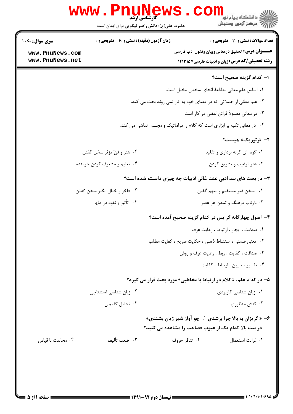|                                   | <b>www.r</b><br><b>کارشناسی ارشد</b><br>حضرت علی(ع): دانش راهبر نیکویی برای ایمان است | د<br>د انشگاه پیام نور<br>۲<br>ر ج<br>پر کار آزمون وسنجش                                           |
|-----------------------------------|---------------------------------------------------------------------------------------|----------------------------------------------------------------------------------------------------|
| سری سوال: یک ۱<br>www.PnuNews.com | <b>زمان آزمون (دقیقه) : تستی : 60 ٪ تشریحی : 0</b>                                    | تعداد سوالات : تستى : 30 - تشريحي : 0<br><b>عنــــوان درس:</b> تحقیق درمعانی وبیان وفنون ادب فارسی |
| www.PnuNews.net                   |                                                                                       | <b>رشته تحصیلی/کد درس:</b> زبان و ادبیات فارسی1۲۱۳۱۵۷                                              |
|                                   |                                                                                       | ا– كدام گزينه صحيح است؟                                                                            |
|                                   |                                                                                       | ٠١ اساس علم معاني مطالعة انحاى سخنان مخيل است.                                                     |
|                                   |                                                                                       | ۰۲ علم معانی از جملاتی که در معنای خود به کار نمی روند بحث می کند.                                 |
|                                   |                                                                                       | ۰۳ در معانی معمولاً قرائن لفظی در کار است.                                                         |
|                                   |                                                                                       | ۰۴ در معانی تکیه بر ابزاری است که کلام را دراماتیک و مجسم نقاشی می کند.                            |
|                                   |                                                                                       | ۲- «رتوریک» چیست؟                                                                                  |
|                                   | ۰۲ هنر و فنّ مؤثر سخن گفتن                                                            | ۰۱ گونه ای گرته برداری و تقلید                                                                     |
|                                   | ۰۴ تعلیم و مشعوف کردن خواننده                                                         | ۰۳ هنر ترغیب و تشویق کردن                                                                          |
|                                   |                                                                                       | <b>۳</b> - در بحث های نقد ادبی علت غائی ادبیات چه چیزی دانسته شده است؟                             |
|                                   | ۰۲ فاخر و خیال انگیز سخن گفتن                                                         | ۰۱ سخن غیر مستقیم و مبهم گفتن                                                                      |
|                                   | ۰۴ تأثير و نفوذ در دلها                                                               | ۰۳ بازتاب فرهنگ و تمدن هر عصر                                                                      |
|                                   |                                                                                       | ۴– اصول چهارگانه گرایس در کدام گزینه صحیح آمده است؟                                                |
|                                   |                                                                                       | ٠١. صداقت ، ايجاز ، ارتباط ، رعايت عرف                                                             |
|                                   |                                                                                       | ۰۲ معنی ضمنی ، استنباط ذهنی ، حکایت صریح ، کفایت مطلب                                              |
|                                   |                                                                                       | ۰۳ صداقت ، کفایت ، ربط ، رعایت عرف و روش                                                           |
|                                   |                                                                                       | ۰۴ تفسیر ، تبیین ، ارتباط ، کفایت                                                                  |
|                                   |                                                                                       | ۵– در کدام علم، « کلام در ارتباط با مخاطبی» مورد بحث قرار می گیرد؟                                 |
|                                   | ۰۲ زبان شناسی استنتاجی                                                                | ۰۱ زبان شناسی کاربردی                                                                              |
|                                   | ۰۴ تحليل گفتمان                                                                       | ۰۳ کنش منظوری                                                                                      |
|                                   |                                                                                       | ۶- «گریزان به بالا چرا برشدی ۱ چو آواز شیر ژیان بشندی»                                             |
|                                   |                                                                                       | در بیت بالا کدام یک از عیوب فصاحت را مشاهده می کنید؟                                               |
| ۰۴ مخالفت با قیاس                 | ۰۳ ضعف تأليف                                                                          | ۰۲ تنافر حروف<br>٠١ غرابت استعمال                                                                  |
|                                   |                                                                                       |                                                                                                    |
|                                   |                                                                                       |                                                                                                    |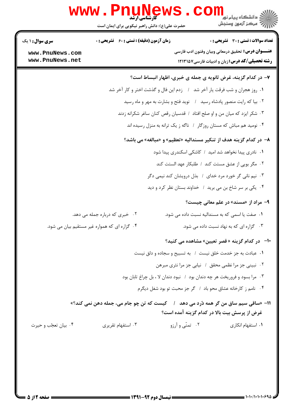|                                    | www.PnuNews                                                                             |                 | د دانشڪاه پيام نور <mark>− .</mark><br>ر <i>⊂ مرڪ</i> ز آزمون وسنڊش                                                |
|------------------------------------|-----------------------------------------------------------------------------------------|-----------------|--------------------------------------------------------------------------------------------------------------------|
|                                    | حضرت علی(ع): دانش راهبر نیکویی برای ایمان است                                           |                 |                                                                                                                    |
| سری سوال: ۱ یک                     | زمان آزمون (دقیقه) : تستی : 60 ٪ تشریحی : 0                                             |                 | تعداد سوالات : تستى : 30 ٪ تشريحي : 0                                                                              |
| www.PnuNews.com<br>www.PnuNews.net |                                                                                         |                 | <b>عنــــوان درس:</b> تحقیق درمعانی وبیان وفنون ادب فارسی<br><b>رشته تحصیلی/کد درس:</b> زبان و ادبیات فارسی۷۵۷۱۳۱۵ |
|                                    |                                                                                         |                 | ۷- در کدام گزینه، غرض ثانویه ی جمله ی خبری، اظهار انبساط است؟                                                      |
|                                    | ۰۱ روز هجران و شب فرقت یار آخر شد ۱ زدم این فال و گذشت اختر و کار آخر شد                |                 |                                                                                                                    |
|                                    |                                                                                         |                 | ۰۲ بیا که رایت منصور پادشاه رسید ۱ نوید فتح و بشارت به مهر و ماه رسید                                              |
|                                    |                                                                                         |                 | ۰۳ شکر ایزد که میان من و او صلح افتاد ۱ قدسیان رقص کنان ساغر شکرانه زدند                                           |
|                                    |                                                                                         |                 | ۰۴ نومید هم مباش که مستان روزگار ۱ ناگه ز یک ترانه به منزل رسیده اند                                               |
|                                    |                                                                                         |                 | ۸– در کدام گزینه هدف از تنکیر مسندالیه «تعظیم» و «مبالغه» می باشد؟                                                 |
|                                    |                                                                                         |                 | ۰۱ نادری پیدا نخواهد شد امید / کاشکی اسکندری پیدا شود                                                              |
|                                    |                                                                                         |                 | ۰۲ مگر بویی از عشق مستت کند / طلبکار عهد الستت کند                                                                 |
|                                    |                                                                                         |                 | ۰۳ نیم نانی گر خورد مرد خدای ۱ بذل درویشان کند نیمی دگر                                                            |
|                                    |                                                                                         |                 | ۰۴ یکی بر سر شاخ بن می برید ۱ خداوند بستان نظر کرد و دید                                                           |
|                                    |                                                                                         |                 | <b>۹- مراد از «مسند» در علم معانی چیست؟</b>                                                                        |
|                                    | ۰۲ خبری که درباره جمله می دهد.                                                          |                 | ٠١ صفت يا اسمى كه به مسنداليه نسبت داده مى شود.                                                                    |
|                                    | ۰۴ گزاره ای که همواره غیر مستقیم بیان می شود.                                           |                 | ۰۳ گزاره ای که به نهاد نسبت داده می شود.                                                                           |
|                                    |                                                                                         |                 | +ا– در کدام گزینه «قصر تعیین» مشاهده می کنید؟                                                                      |
|                                    |                                                                                         |                 | ٠١ عبادت به جز خدمت خلق نيست ١ به تسبيح و سجاده و دلق نيست                                                         |
|                                    |                                                                                         |                 | ۰۲ نبینی جز مرا نظمی محقق / نیابی جز مرا نثری مبرهن                                                                |
|                                    |                                                                                         |                 | ۰۳ مرا بسود و فروریخت هر چه دندان بود ۱ نبود دندان لا ، بل چراغ تابان بود                                          |
|                                    |                                                                                         |                 | ۰۴ نامم ز کارخانه عشاق محو باد / گر جز محبت تو بود شغل دیگرم                                                       |
|                                    | 11– «ساقی سیم ساق من گر همه دُرد می دهد   /    کیست که تن چو جام می، جمله دهن نمی کند؟» |                 | غرض از پرسش بیت بالا در کدام گزینه آمده است؟                                                                       |
| ۰۴ بيان تعجّب و حيرت               | ۰۳ استفهام تقریری                                                                       | ۰۲ تمنّی و آرزو | ۰۱ استفهام انکاری                                                                                                  |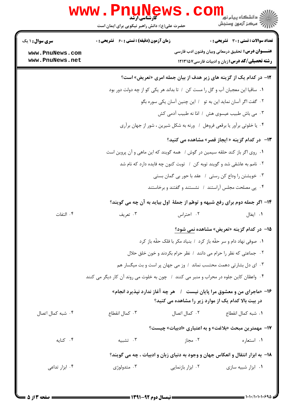|                                                              | <b>WWW .</b><br><b>کارشناسی ارشد</b><br>حضرت علی(ع): دانش راهبر نیکویی برای ایمان است                                                                                                                                                                                                                               |                                                                                                                                                                                                                                                                                               | د دانشگاه پيام نو <mark>ر</mark><br>ر آمرڪز آزمون وسنڊش |
|--------------------------------------------------------------|---------------------------------------------------------------------------------------------------------------------------------------------------------------------------------------------------------------------------------------------------------------------------------------------------------------------|-----------------------------------------------------------------------------------------------------------------------------------------------------------------------------------------------------------------------------------------------------------------------------------------------|---------------------------------------------------------|
| <b>سری سوال : ۱ یک</b><br>www.PnuNews.com<br>www.PnuNews.net | <b>زمان آزمون (دقیقه) : تستی : 60 ٪ تشریحی : 0</b>                                                                                                                                                                                                                                                                  | <b>عنــــوان درس:</b> تحقیق درمعانی وبیان وفنون ادب فارسی<br><b>رشته تحصیلی/کد درس:</b> زبان و ادبیات فارسی1۲۱۳۱۵۷                                                                                                                                                                            | <b>تعداد سوالات : تستی : 30 ٪ تشریحی : 0</b>            |
|                                                              | ٠١ ساقيا اين معجبان آب و گل را مست كن ١ تا بداند هر يكي كو از چه دولت دور بود<br>۰۴ یا خلوتی برآور یا برقعی فروهل ۱ ورنه به شکل شیرین ، شور از جهان برآری<br>۰۱ روی اگر باز کند حلقه سیمین در گوش / همه گویند که این ماهی و آن پروین است<br>۰۲ نامم به عاشقی شد و گویند توبه کن ۱ توبت کنون چه فایده دارد که نام شد | ۱۲- در کدام یک از گزینه های زیر هدف از بیان جمله امری «تعریض» است؟<br>۰۲ گفت اگر آسان نماید این به تو ۱ این چنین آسان یکی سوره بگو<br>٠٣ مي باش طبيب عيسوى هش ١ امّا نه طبيب آدمي كش<br>۱۳- در کدام گزینه « ایجاز قصر» مشاهده می کنید؟<br>۰۳ خویشتن را وداع کن رستی ۱ عقد با حور بی گمان بستی |                                                         |
| ۰۴ التفات                                                    | ۱۴- اگر جمله دوم برای رفع شبهه و توهّم از جملهٔ اول بیاید به آن چه می گویند؟<br>۰۳ تعریف                                                                                                                                                                                                                            | ۰۴ پی مصلحت مجلس آراستند ۱ نشستند و گفتند و برخاستند<br>۰۲ احتراس                                                                                                                                                                                                                             | ۰۱ ایغال                                                |
|                                                              | ۰۳ ای دل بشارتی دهمت محتسب نماند ۱ وز می جهان پر است و بت میگسار هم<br>۰۴ واعظان کاین جلوه در محراب و منبر می کنند ۱ چون به خلوت می روند آن کار دیگر می کنند<br>۱۶- «ماجرای من و معشوق مرا پایان نیست   /   هر چه آغاز ندارد نپذیرد انجام»                                                                          | ۱۵– در کدام گزینه «تعریض» مشاهده نمی شود؟<br>٠١ صوفي نهاد دام و سر حقّه باز كرد ١ بنياد مكر با فلك حقّه باز كرد<br>٠٢ جماعتي كه نظر را حرام مي دانند ١ نظر حرام بكردند و خون خلق حلال                                                                                                         |                                                         |
| ۰۴ شبه کمال اتصال                                            | ۰۳ کمال انقطاع                                                                                                                                                                                                                                                                                                      | در بیت بالا کدام یک از موارد زیر را مشاهده می کنید؟<br>٠١ شبه كمال انقطاع مسمع ٢٠ كمال اتصال                                                                                                                                                                                                  |                                                         |
| ۰۴ کنایه                                                     | ۰۳ تشبیه<br>۱۸- به ابزار انتقال و انعکاس جهان و وجود به دنیای زبان و ادبیات ، چه می گویند؟                                                                                                                                                                                                                          | ۱۷- مهمترین مبحث «بلاغت» و به اعتباری «ادبیات» چیست؟<br>۰۲ مجاز                                                                                                                                                                                                                               | ۰۱ استعاره                                              |
| ۰۴ ابزار تداعی                                               | متدولوژي $\cdot$ ۳                                                                                                                                                                                                                                                                                                  | ۰۲ ابزار بازنمایی                                                                                                                                                                                                                                                                             | ۰۱ ابزار شبیه سازی                                      |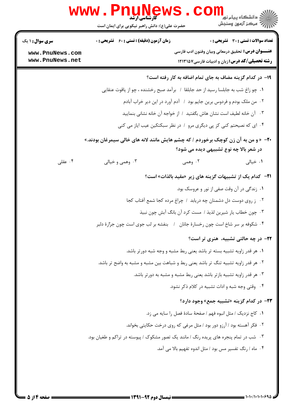|                                    | <b>گارشناسی ارشد</b><br>حضرت علی(ع): دانش راهبر نیکویی برای ایمان است | ≦ دانشگاه پيام نو <mark>ر</mark><br>رآب مرڪز آزمون وسنڊش                                                                             |
|------------------------------------|-----------------------------------------------------------------------|--------------------------------------------------------------------------------------------------------------------------------------|
| <b>سری سوال : ۱ یک</b>             | <b>زمان آزمون (دقیقه) : تستی : 60 ٪ تشریحی : 0</b>                    | <b>تعداد سوالات : تستی : 30 ٪ تشریحی : 0</b>                                                                                         |
| www.PnuNews.com<br>www.PnuNews.net |                                                                       | <b>عنــــوان درس:</b> تحقیق درمعانی وبیان وفنون ادب فارسی<br><b>رشته تحصیلی/کد درس:</b> زبان و ادبیات فارسی۷۵۷ ۱۲۱۳۱                 |
|                                    |                                                                       | ۱۹- در کدام گزینه مضاف به جای تمام اضافه به کار رفته است؟                                                                            |
|                                    |                                                                       | ۰۱ چو زاغ شب به جابلسا رسید از حد جابلقا ۱ برآمد صبح رخشنده ، چو از یاقوت عنقایی                                                     |
|                                    |                                                                       | ۰۲ من ملک بودم و فردوس برین جایم بود ۱ آدم آورد در این دیر خراب آبادم                                                                |
|                                    |                                                                       | ۰۳ آن خانه لطیف است نشان هاش بگفتید  /  از خواجه آن خانه نشانی بنمایید                                                               |
|                                    |                                                                       | ۰۴ ای که نصیحتم کنی کز پی دیگری مرو ۱ در نظر سبکتکین عیب ایاز می کنی                                                                 |
|                                    |                                                                       | <b>۲۰</b> - « و من به آن زن کوچک برخوردم / که چشم هایش مانند لانه های خالی سیمرغان بودند.»<br>در شعر بالا چه نوع تشبیهی دیده می شود؟ |
| ۰۴ عقلی                            | ۰۳ وهمي و خيالي                                                       | ۰۱ خیالی<br>۰۲ وهمی                                                                                                                  |
|                                    |                                                                       | <b>۲۱</b> - کدام یک از تشبیهات گزینه های زیر «مقید بالذات» است؟                                                                      |
|                                    |                                                                       | ۰۱ زندگی در آن وقت صفی از نور و عروسک بود.                                                                                           |
|                                    |                                                                       | ۰۲ ز روی دوست دل دشمنان چه دریابد / چراغ مرده کجا شمع آفتاب کجا                                                                      |
|                                    |                                                                       | ۰۳ چون خطاب یار شیرین لذیذ / مست کرد آن بانگ آبش چون نبیذ                                                                            |
|                                    |                                                                       | ۰۴ شکوفه بر سر شاخ است چون رخسارهٔ جانان ۱ بنفشه بر لب جوی است چون جرارهٔ دلبر                                                       |
|                                    |                                                                       | ۲۲- در چه حالتی تشبیه، هنری تر است؟                                                                                                  |
|                                    |                                                                       | ۰۱ هر قدر زاویه تشبیه بسته تر باشد یعنی ربط مشبه و وجه شبه دورتر باشد.                                                               |
|                                    |                                                                       | ۲. هر قدر زاویه تشبیه تنگ تر باشد یعنی ربط و شباهت بین مشبه و مشبه به واضح تر باشد.                                                  |
|                                    |                                                                       | ۰۳ هر قدر زاویه تشبیه بازتر باشد یعنی ربط مشبه و مشبه به دورتر باشد.                                                                 |
|                                    |                                                                       | ۴. وقتی وجه شبه و ادات تشبیه در کلام ذکر نشود.                                                                                       |
|                                    |                                                                       | <b>۲۳</b> - در کدام گزینه «تشبیه جمع» وجود دارد؟                                                                                     |
|                                    |                                                                       | ٠١ كاج نزديك / مثل انبوه فهم / صفحة سادة فصل را سايه مي زد.                                                                          |
|                                    |                                                                       | ۲. فکر آهسته بود / آرزو دور بود / مثل مرغی که روی درخت حکایتی بخواند.                                                                |
|                                    |                                                                       | ۰۳ شب در تمام پنجره های پریده رنگ / مانند یک تصور مشکوک / پیوسته در تراکم و طغیان بود.                                               |
|                                    |                                                                       | ۰۴ ماه / رنگ تفسیر مس بود / مثل اندوه تفهیم بالا می آمد.                                                                             |
|                                    |                                                                       |                                                                                                                                      |